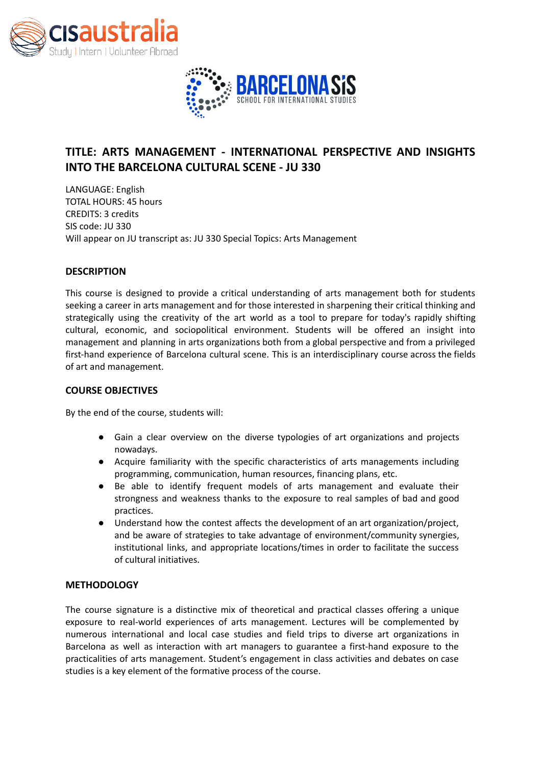



# **TITLE: ARTS MANAGEMENT - INTERNATIONAL PERSPECTIVE AND INSIGHTS INTO THE BARCELONA CULTURAL SCENE - JU 330**

LANGUAGE: English TOTAL HOURS: 45 hours CREDITS: 3 credits SIS code: JU 330 Will appear on JU transcript as: JU 330 Special Topics: Arts Management

## **DESCRIPTION**

This course is designed to provide a critical understanding of arts management both for students seeking a career in arts management and for those interested in sharpening their critical thinking and strategically using the creativity of the art world as a tool to prepare for today's rapidly shifting cultural, economic, and sociopolitical environment. Students will be offered an insight into management and planning in arts organizations both from a global perspective and from a privileged first-hand experience of Barcelona cultural scene. This is an interdisciplinary course across the fields of art and management.

#### **COURSE OBJECTIVES**

By the end of the course, students will:

- Gain a clear overview on the diverse typologies of art organizations and projects nowadays.
- Acquire familiarity with the specific characteristics of arts managements including programming, communication, human resources, financing plans, etc.
- Be able to identify frequent models of arts management and evaluate their strongness and weakness thanks to the exposure to real samples of bad and good practices.
- Understand how the contest affects the development of an art organization/project, and be aware of strategies to take advantage of environment/community synergies, institutional links, and appropriate locations/times in order to facilitate the success of cultural initiatives.

#### **METHODOLOGY**

The course signature is a distinctive mix of theoretical and practical classes offering a unique exposure to real-world experiences of arts management. Lectures will be complemented by numerous international and local case studies and field trips to diverse art organizations in Barcelona as well as interaction with art managers to guarantee a first-hand exposure to the practicalities of arts management. Student's engagement in class activities and debates on case studies is a key element of the formative process of the course.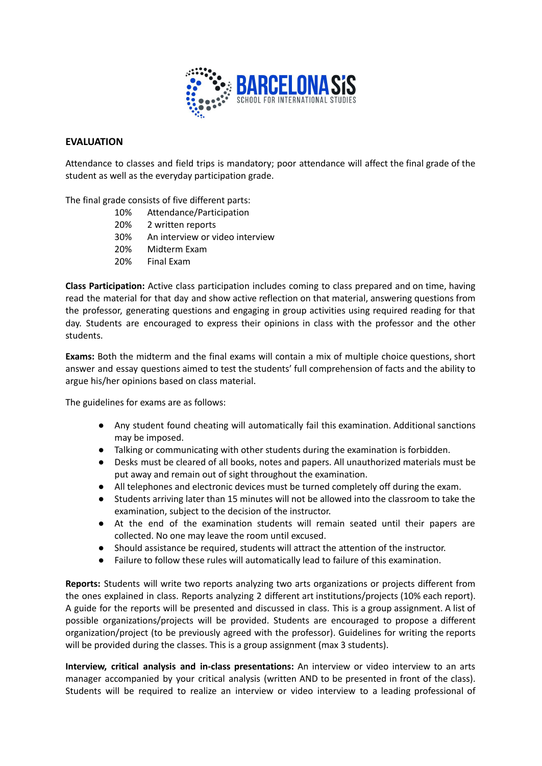

#### **EVALUATION**

Attendance to classes and field trips is mandatory; poor attendance will affect the final grade of the student as well as the everyday participation grade.

The final grade consists of five different parts:

- 10% Attendance/Participation
- 20% 2 written reports
- 30% An interview or video interview
- 20% Midterm Exam
- 20% Final Exam

**Class Participation:** Active class participation includes coming to class prepared and on time, having read the material for that day and show active reflection on that material, answering questions from the professor, generating questions and engaging in group activities using required reading for that day. Students are encouraged to express their opinions in class with the professor and the other students.

**Exams:** Both the midterm and the final exams will contain a mix of multiple choice questions, short answer and essay questions aimed to test the students' full comprehension of facts and the ability to argue his/her opinions based on class material.

The guidelines for exams are as follows:

- Any student found cheating will automatically fail this examination. Additional sanctions may be imposed.
- Talking or communicating with other students during the examination is forbidden.
- Desks must be cleared of all books, notes and papers. All unauthorized materials must be put away and remain out of sight throughout the examination.
- All telephones and electronic devices must be turned completely off during the exam.
- Students arriving later than 15 minutes will not be allowed into the classroom to take the examination, subject to the decision of the instructor.
- At the end of the examination students will remain seated until their papers are collected. No one may leave the room until excused.
- Should assistance be required, students will attract the attention of the instructor.
- Failure to follow these rules will automatically lead to failure of this examination.

**Reports:** Students will write two reports analyzing two arts organizations or projects different from the ones explained in class. Reports analyzing 2 different art institutions/projects (10% each report). A guide for the reports will be presented and discussed in class. This is a group assignment. A list of possible organizations/projects will be provided. Students are encouraged to propose a different organization/project (to be previously agreed with the professor). Guidelines for writing the reports will be provided during the classes. This is a group assignment (max 3 students).

**Interview, critical analysis and in-class presentations:** An interview or video interview to an arts manager accompanied by your critical analysis (written AND to be presented in front of the class). Students will be required to realize an interview or video interview to a leading professional of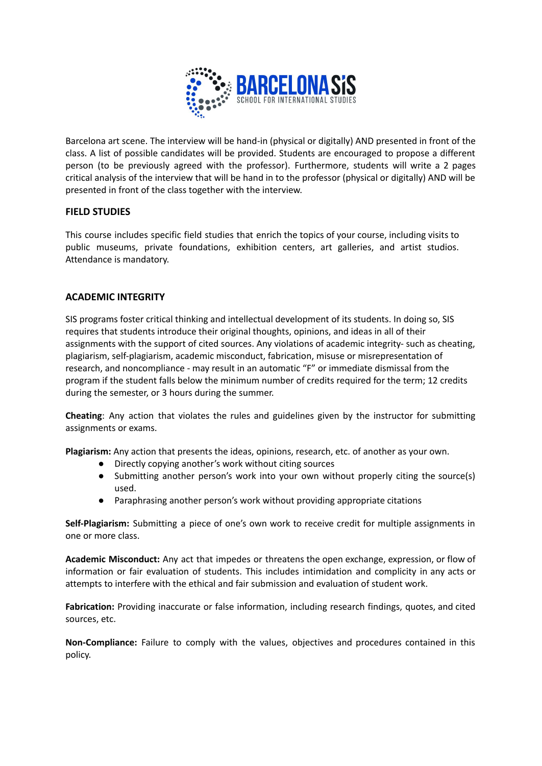

Barcelona art scene. The interview will be hand-in (physical or digitally) AND presented in front of the class. A list of possible candidates will be provided. Students are encouraged to propose a different person (to be previously agreed with the professor). Furthermore, students will write a 2 pages critical analysis of the interview that will be hand in to the professor (physical or digitally) AND will be presented in front of the class together with the interview.

# **FIELD STUDIES**

This course includes specific field studies that enrich the topics of your course, including visits to public museums, private foundations, exhibition centers, art galleries, and artist studios. Attendance is mandatory.

# **ACADEMIC INTEGRITY**

SIS programs foster critical thinking and intellectual development of its students. In doing so, SIS requires that students introduce their original thoughts, opinions, and ideas in all of their assignments with the support of cited sources. Any violations of academic integrity- such as cheating, plagiarism, self-plagiarism, academic misconduct, fabrication, misuse or misrepresentation of research, and noncompliance - may result in an automatic "F" or immediate dismissal from the program if the student falls below the minimum number of credits required for the term; 12 credits during the semester, or 3 hours during the summer.

**Cheating**: Any action that violates the rules and guidelines given by the instructor for submitting assignments or exams.

**Plagiarism:** Any action that presents the ideas, opinions, research, etc. of another as your own.

- Directly copying another's work without citing sources
- Submitting another person's work into your own without properly citing the source(s) used.
- Paraphrasing another person's work without providing appropriate citations

**Self-Plagiarism:** Submitting a piece of one's own work to receive credit for multiple assignments in one or more class.

**Academic Misconduct:** Any act that impedes or threatens the open exchange, expression, or flow of information or fair evaluation of students. This includes intimidation and complicity in any acts or attempts to interfere with the ethical and fair submission and evaluation of student work.

**Fabrication:** Providing inaccurate or false information, including research findings, quotes, and cited sources, etc.

**Non-Compliance:** Failure to comply with the values, objectives and procedures contained in this policy.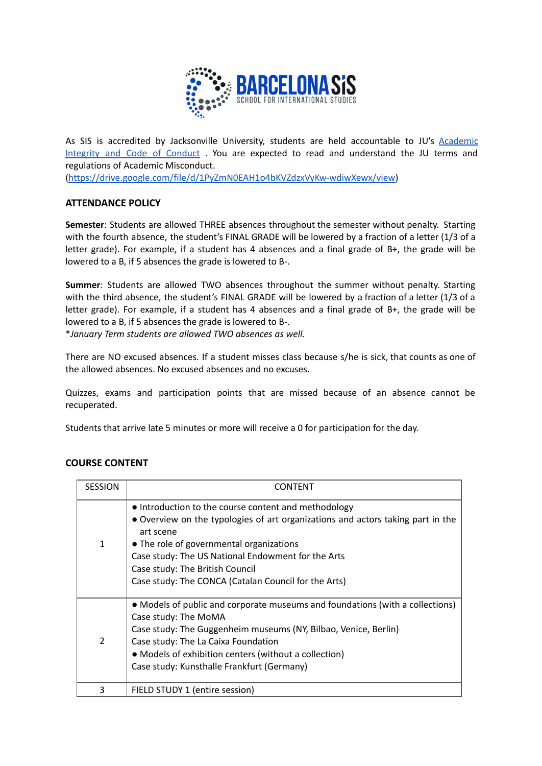

As SIS is accredited by Jacksonville University, students are held accountable to JU's [Academic](https://drive.google.com/file/d/1PyZmN0EAH1o4bKVZdzxVyKw-wdiwXewx/view) [Integrity](https://drive.google.com/file/d/1PyZmN0EAH1o4bKVZdzxVyKw-wdiwXewx/view) and Code of Conduct . You are expected to read and understand the JU terms and regulations of Academic Misconduct.

[\(https://drive.google.com/file/d/1PyZmN0EAH1o4bKVZdzxVyKw-wdiwXewx/view\)](https://drive.google.com/file/d/1PyZmN0EAH1o4bKVZdzxVyKw-wdiwXewx/view)

# **ATTENDANCE POLICY**

**Semester**: Students are allowed THREE absences throughout the semester without penalty. Starting with the fourth absence, the student's FINAL GRADE will be lowered by a fraction of a letter (1/3 of a letter grade). For example, if a student has 4 absences and a final grade of B+, the grade will be lowered to a B, if 5 absences the grade is lowered to B-.

**Summer**: Students are allowed TWO absences throughout the summer without penalty. Starting with the third absence, the student's FINAL GRADE will be lowered by a fraction of a letter (1/3 of a letter grade). For example, if a student has 4 absences and a final grade of B+, the grade will be lowered to a B, if 5 absences the grade is lowered to B-.

\**January Term students are allowed TWO absences as well.*

There are NO excused absences. If a student misses class because s/he is sick, that counts as one of the allowed absences. No excused absences and no excuses.

Quizzes, exams and participation points that are missed because of an absence cannot be recuperated.

Students that arrive late 5 minutes or more will receive a 0 for participation for the day.

| <b>SESSION</b> | CONTENT                                                                                                                                                                                                                                                                                                                                           |
|----------------|---------------------------------------------------------------------------------------------------------------------------------------------------------------------------------------------------------------------------------------------------------------------------------------------------------------------------------------------------|
| 1              | • Introduction to the course content and methodology<br>• Overview on the typologies of art organizations and actors taking part in the<br>art scene<br>• The role of governmental organizations<br>Case study: The US National Endowment for the Arts<br>Case study: The British Council<br>Case study: The CONCA (Catalan Council for the Arts) |
| $\mathcal{P}$  | • Models of public and corporate museums and foundations (with a collections)<br>Case study: The MoMA<br>Case study: The Guggenheim museums (NY, Bilbao, Venice, Berlin)<br>Case study: The La Caixa Foundation<br>• Models of exhibition centers (without a collection)<br>Case study: Kunsthalle Frankfurt (Germany)                            |
| 3              | FIELD STUDY 1 (entire session)                                                                                                                                                                                                                                                                                                                    |

# **COURSE CONTENT**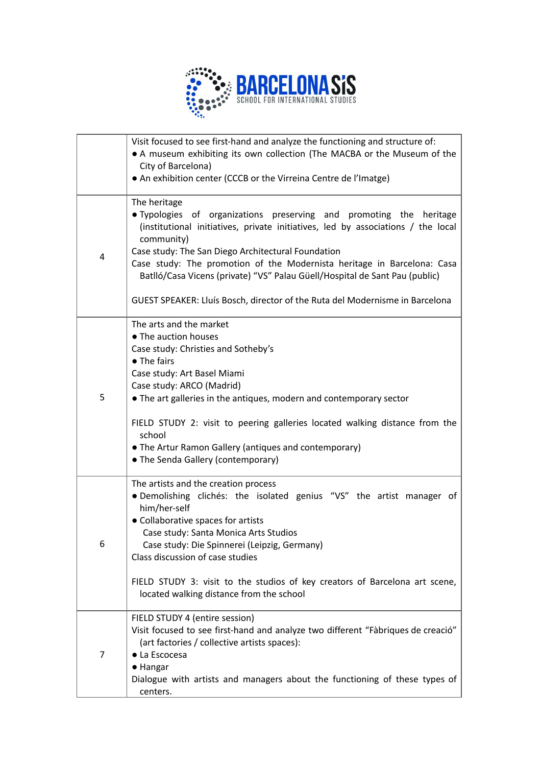

|   | Visit focused to see first-hand and analyze the functioning and structure of:                                                                                         |
|---|-----------------------------------------------------------------------------------------------------------------------------------------------------------------------|
|   | • A museum exhibiting its own collection (The MACBA or the Museum of the<br>City of Barcelona)                                                                        |
|   | • An exhibition center (CCCB or the Virreina Centre de l'Imatge)                                                                                                      |
|   |                                                                                                                                                                       |
|   | The heritage                                                                                                                                                          |
|   | . Typologies of organizations preserving and promoting the heritage<br>(institutional initiatives, private initiatives, led by associations / the local<br>community) |
| 4 | Case study: The San Diego Architectural Foundation                                                                                                                    |
|   | Case study: The promotion of the Modernista heritage in Barcelona: Casa<br>Batlló/Casa Vicens (private) "VS" Palau Güell/Hospital de Sant Pau (public)                |
|   | GUEST SPEAKER: Lluís Bosch, director of the Ruta del Modernisme in Barcelona                                                                                          |
|   | The arts and the market                                                                                                                                               |
|   | • The auction houses                                                                                                                                                  |
|   | Case study: Christies and Sotheby's<br>• The fairs                                                                                                                    |
|   | Case study: Art Basel Miami                                                                                                                                           |
|   | Case study: ARCO (Madrid)                                                                                                                                             |
| 5 | • The art galleries in the antiques, modern and contemporary sector                                                                                                   |
|   | FIELD STUDY 2: visit to peering galleries located walking distance from the<br>school<br>• The Artur Ramon Gallery (antiques and contemporary)                        |
|   | • The Senda Gallery (contemporary)                                                                                                                                    |
|   | The artists and the creation process                                                                                                                                  |
|   | · Demolishing clichés: the isolated genius "VS" the artist manager of<br>him/her-self                                                                                 |
| 6 | • Collaborative spaces for artists                                                                                                                                    |
|   | Case study: Santa Monica Arts Studios                                                                                                                                 |
|   | Case study: Die Spinnerei (Leipzig, Germany)                                                                                                                          |
|   | Class discussion of case studies                                                                                                                                      |
|   | FIELD STUDY 3: visit to the studios of key creators of Barcelona art scene,<br>located walking distance from the school                                               |
|   |                                                                                                                                                                       |
|   | FIELD STUDY 4 (entire session)                                                                                                                                        |
| 7 | Visit focused to see first-hand and analyze two different "Fàbriques de creació"<br>(art factories / collective artists spaces):                                      |
|   | • La Escocesa                                                                                                                                                         |
|   | • Hangar                                                                                                                                                              |
|   | Dialogue with artists and managers about the functioning of these types of                                                                                            |
|   | centers.                                                                                                                                                              |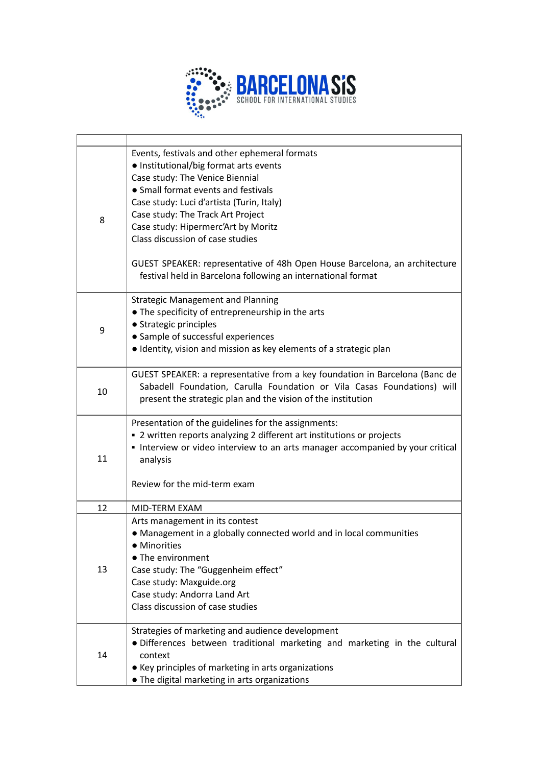

| 8  | Events, festivals and other ephemeral formats<br>• Institutional/big format arts events<br>Case study: The Venice Biennial<br>• Small format events and festivals<br>Case study: Luci d'artista (Turin, Italy)<br>Case study: The Track Art Project<br>Case study: Hipermerc'Art by Moritz<br>Class discussion of case studies<br>GUEST SPEAKER: representative of 48h Open House Barcelona, an architecture<br>festival held in Barcelona following an international format |
|----|------------------------------------------------------------------------------------------------------------------------------------------------------------------------------------------------------------------------------------------------------------------------------------------------------------------------------------------------------------------------------------------------------------------------------------------------------------------------------|
| 9  | <b>Strategic Management and Planning</b><br>• The specificity of entrepreneurship in the arts<br>• Strategic principles<br>• Sample of successful experiences<br>· Identity, vision and mission as key elements of a strategic plan                                                                                                                                                                                                                                          |
| 10 | GUEST SPEAKER: a representative from a key foundation in Barcelona (Banc de<br>Sabadell Foundation, Carulla Foundation or Vila Casas Foundations) will<br>present the strategic plan and the vision of the institution                                                                                                                                                                                                                                                       |
| 11 | Presentation of the guidelines for the assignments:<br>" 2 written reports analyzing 2 different art institutions or projects<br>Interview or video interview to an arts manager accompanied by your critical<br>analysis<br>Review for the mid-term exam                                                                                                                                                                                                                    |
| 12 | MID-TERM EXAM                                                                                                                                                                                                                                                                                                                                                                                                                                                                |
| 13 | Arts management in its contest<br>• Management in a globally connected world and in local communities<br>Minorities<br>• The environment<br>Case study: The "Guggenheim effect"<br>Case study: Maxguide.org<br>Case study: Andorra Land Art<br>Class discussion of case studies                                                                                                                                                                                              |
| 14 | Strategies of marketing and audience development<br>· Differences between traditional marketing and marketing in the cultural<br>context<br>• Key principles of marketing in arts organizations<br>. The digital marketing in arts organizations                                                                                                                                                                                                                             |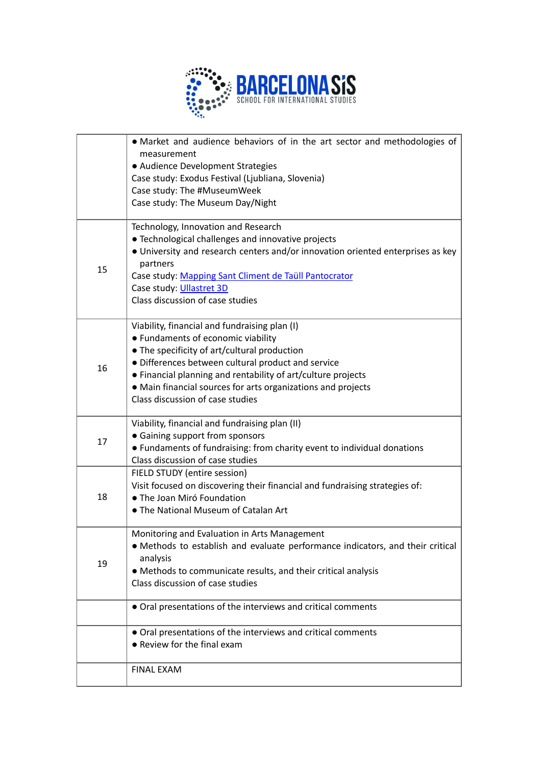

|    | • Market and audience behaviors of in the art sector and methodologies of<br>measurement<br>• Audience Development Strategies<br>Case study: Exodus Festival (Ljubliana, Slovenia)<br>Case study: The #MuseumWeek<br>Case study: The Museum Day/Night                                                                                                         |
|----|---------------------------------------------------------------------------------------------------------------------------------------------------------------------------------------------------------------------------------------------------------------------------------------------------------------------------------------------------------------|
| 15 | Technology, Innovation and Research<br>• Technological challenges and innovative projects<br>• University and research centers and/or innovation oriented enterprises as key<br>partners<br>Case study: Mapping Sant Climent de Taüll Pantocrator<br>Case study: Ullastret 3D<br>Class discussion of case studies                                             |
| 16 | Viability, financial and fundraising plan (I)<br>• Fundaments of economic viability<br>• The specificity of art/cultural production<br>· Differences between cultural product and service<br>• Financial planning and rentability of art/culture projects<br>• Main financial sources for arts organizations and projects<br>Class discussion of case studies |
| 17 | Viability, financial and fundraising plan (II)<br>• Gaining support from sponsors<br>• Fundaments of fundraising: from charity event to individual donations<br>Class discussion of case studies                                                                                                                                                              |
| 18 | FIELD STUDY (entire session)<br>Visit focused on discovering their financial and fundraising strategies of:<br>• The Joan Miró Foundation<br>• The National Museum of Catalan Art                                                                                                                                                                             |
| 19 | Monitoring and Evaluation in Arts Management<br>• Methods to establish and evaluate performance indicators, and their critical<br>analysis<br>• Methods to communicate results, and their critical analysis<br>Class discussion of case studies                                                                                                               |
|    | • Oral presentations of the interviews and critical comments                                                                                                                                                                                                                                                                                                  |
|    | • Oral presentations of the interviews and critical comments<br>• Review for the final exam                                                                                                                                                                                                                                                                   |
|    | <b>FINAL EXAM</b>                                                                                                                                                                                                                                                                                                                                             |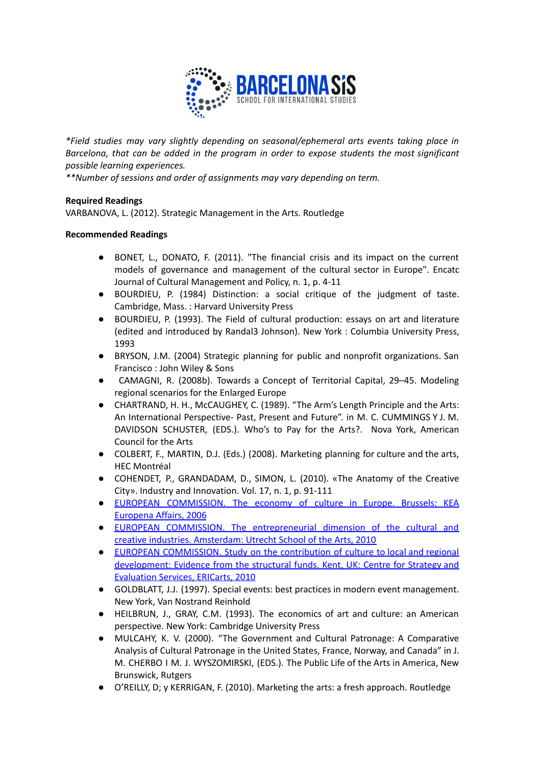

*\*Field studies may vary slightly depending on seasonal/ephemeral arts events taking place in Barcelona, that can be added in the program in order to expose students the most significant possible learning experiences.*

*\*\*Number of sessions and order of assignments may vary depending on term.*

## **Required Readings**

VARBANOVA, L. (2012). Strategic Management in the Arts. Routledge

## **Recommended Readings**

- BONET, L., DONATO, F. (2011). "The financial crisis and its impact on the current models of governance and management of the cultural sector in Europe". Encatc Journal of Cultural Management and Policy, n. 1, p. 4-11
- BOURDIEU, P. (1984) Distinction: a social critique of the judgment of taste. Cambridge, Mass. : Harvard University Press
- BOURDIEU, P. (1993). The Field of cultural production: essays on art and literature (edited and introduced by Randal3 Johnson). New York : Columbia University Press, 1993
- BRYSON, J.M. (2004) Strategic planning for public and nonprofit organizations. San Francisco : John Wiley & Sons
- CAMAGNI, R. (2008b). Towards a Concept of Territorial Capital, 29–45. Modeling regional scenarios for the Enlarged Europe
- CHARTRAND, H. H., McCAUGHEY, C. (1989). "The Arm's Length Principle and the Arts: An International Perspective- Past, Present and Future". in M. C. CUMMINGS Y J. M. DAVIDSON SCHUSTER, (EDS.). Who's to Pay for the Arts?. Nova York, American Council for the Arts
- COLBERT, F., MARTIN, D.J. (Eds.) (2008). Marketing planning for culture and the arts, HEC Montréal
- COHENDET, P., GRANDADAM, D., SIMON, L. (2010). «The Anatomy of the Creative City». Industry and Innovation. Vol. 17, n. 1, p. 91-111
- EUROPEAN [COMMISSION.](http://ec.europa.eu/assets/eac/culture/library/studies/cultural-economy_en.pdf) The economy of culture in Europe. Brussels: KEA [Europena](http://ec.europa.eu/assets/eac/culture/library/studies/cultural-economy_en.pdf) Affairs, 2006
- EUROPEAN COMMISSION. The [entrepreneurial](http://kultur.creative-europe-desk.de/fileadmin/user_upload/The_Entrepreneurial_Dimension_of_the_Cultural_and_Creative_Industries.pdf) dimension of the cultural and creative industries. [Amsterdam:](http://kultur.creative-europe-desk.de/fileadmin/user_upload/The_Entrepreneurial_Dimension_of_the_Cultural_and_Creative_Industries.pdf) Utrecht School of the Arts, 2010
- EUROPEAN [COMMISSION.](http://www.europa-foerdert-kultur.info/fileadmin/Europa_foerdert_Kultur/EfK_Regionale_Entwicklung/Report_Contribution_of_Culture_to_Local_and_Regional_Development.pdf) Study on the contribution of culture to local and regional [development:](http://www.europa-foerdert-kultur.info/fileadmin/Europa_foerdert_Kultur/EfK_Regionale_Entwicklung/Report_Contribution_of_Culture_to_Local_and_Regional_Development.pdf) Evidence from the structural funds. Kent, UK: Centre for Strategy and [Evaluation](http://www.europa-foerdert-kultur.info/fileadmin/Europa_foerdert_Kultur/EfK_Regionale_Entwicklung/Report_Contribution_of_Culture_to_Local_and_Regional_Development.pdf) Services, ERICarts, 2010
- GOLDBLATT, J.J. (1997). Special events: best practices in modern event management. New York, Van Nostrand Reinhold
- HEILBRUN, J., GRAY, C.M. (1993). The economics of art and culture: an American perspective. New York: Cambridge University Press
- MULCAHY, K. V. (2000). "The Government and Cultural Patronage: A Comparative Analysis of Cultural Patronage in the United States, France, Norway, and Canada" in J. M. CHERBO I M. J. WYSZOMIRSKI, (EDS.). The Public Life of the Arts in America, New Brunswick, Rutgers
- O'REILLY, D; y KERRIGAN, F. (2010). Marketing the arts: a fresh approach. Routledge